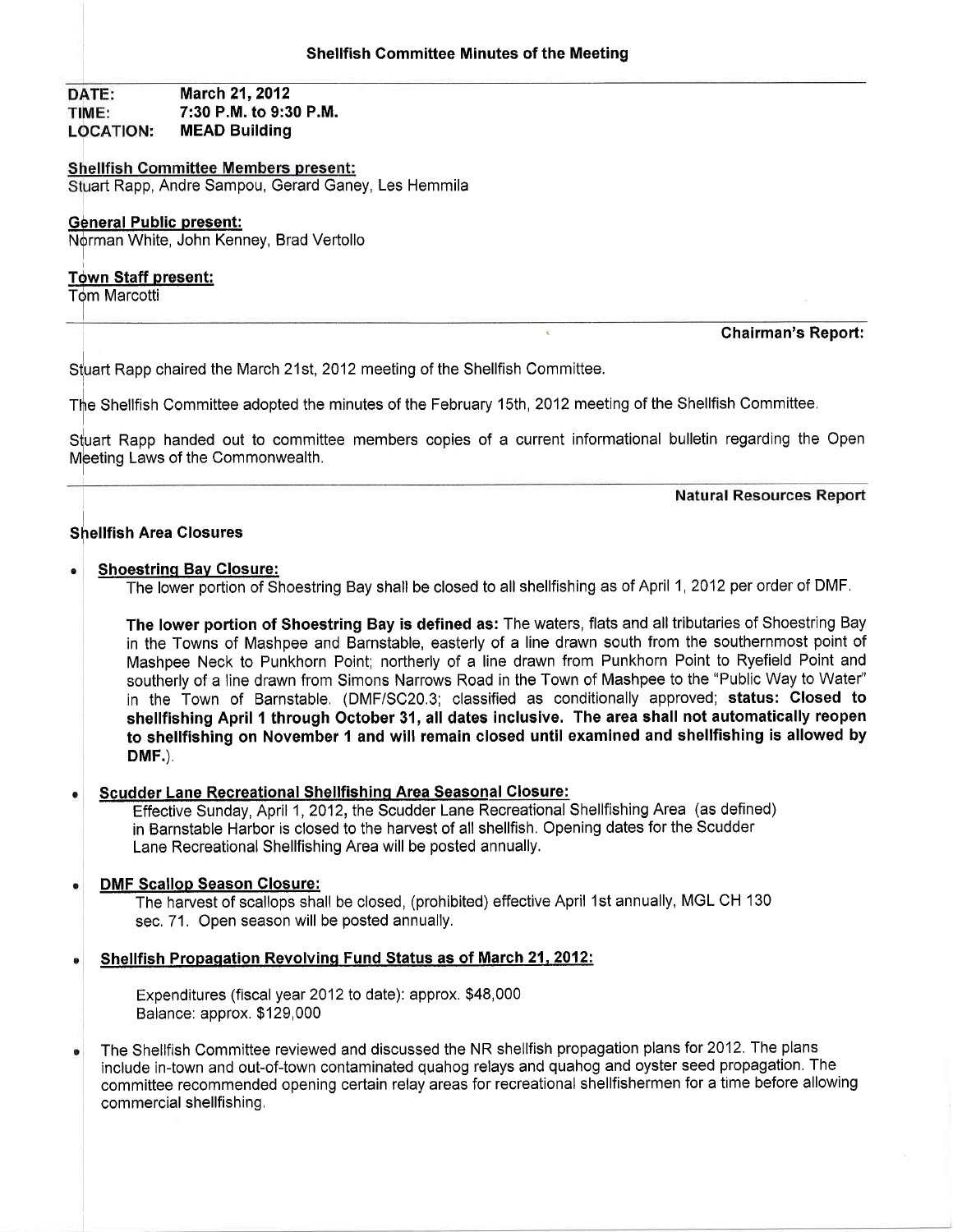#### March 21, 2012 DATE: TIME: 7:30 P.M. to 9:30 P.M. MEAD Building **LOCATION:**

### **Shellfish Committee Members present:**

Stuart Rapp, Andre Sampou, Gerard Ganey, Les Hemmila

### General Public present:

Norman White, John Kenney, Brad Vertollo

# Tdwn Staff present:

**Tom Marcotti** 

--T

### Chairman's Report:

Stuart Rapp chaired the March 21st, 2012 meeting of the Shellfish Committee.

The Shellfish Committee adopted the minutes of the February 15th, 2012 meeting of the Shellfish Committee.

Stuart Rapp handed out to committee members copies of a current informational bulletin regarding the Open Meeting Laws of the Commonwealth.

**Natural Resources Report** 

# Shellfish Area Closures

#### Shoestrinq Bav Closure:

The lower portion of Shoestring Bay shall be closed to all shellfishing as of April 1,2012 per order of DMF

The lower portion of Shoestring Bay is defined as: The waters, flats and all tributaries of Shoestring Bay in the Towns of Mashpee and Barnstable, easterly of a line drawn south from the southernmost point of Mashpee Neck to Punkhorn Point; northerly of a line drawn from Punkhorn Point to Ryefield Point and southerly of a line drawn from Simons Narrows Road in the Town of Mashpee to the "Public Way to Water" in the Town of Barnstable. (DMF/SC20.3; classified as conditionally approved; status: Closed to shellfishing April 1 through October 31, all dates inclusive. The area shall not automatically reopen to shellfishing on November 1 and will remain closed until examined and shellfishing is allowed by DMF.)

#### Scudder Lane Recreational Shellfishinq Area Seasonal Closure:

Effective Sunday, April 1, 2012, the Scudder Lane Recreational Shellfishing Area (as defined) in Barnstable Harbor is closed to the harvest of all shellfish. Opening dates for the Scudder Lane Recreational Shellfishing Area will be posted annually.

#### DMF Scallop Season Glosure:

The harvest of scallops shall be closed, (prohibited) effective April 1st annually, MGL CH 130 sec. 71. Open season will be posted annually.

#### Shellfish Propagation Revolving Fund Status as of March 21, 2012:

Expenditures (fiscal year 2012 to date): approx. \$48,000 Balance: approx. \$129,000

The Shellfish Committee reviewed and discussed the NR shellfish propagation plans for 2012. The plans include in-town and out-of-town contaminated quahog relays and quahog and oyster seed propagation. The committee recommended opening certain relay areas for recreational shellfishermen for a time before allowing commercial shellfishing.